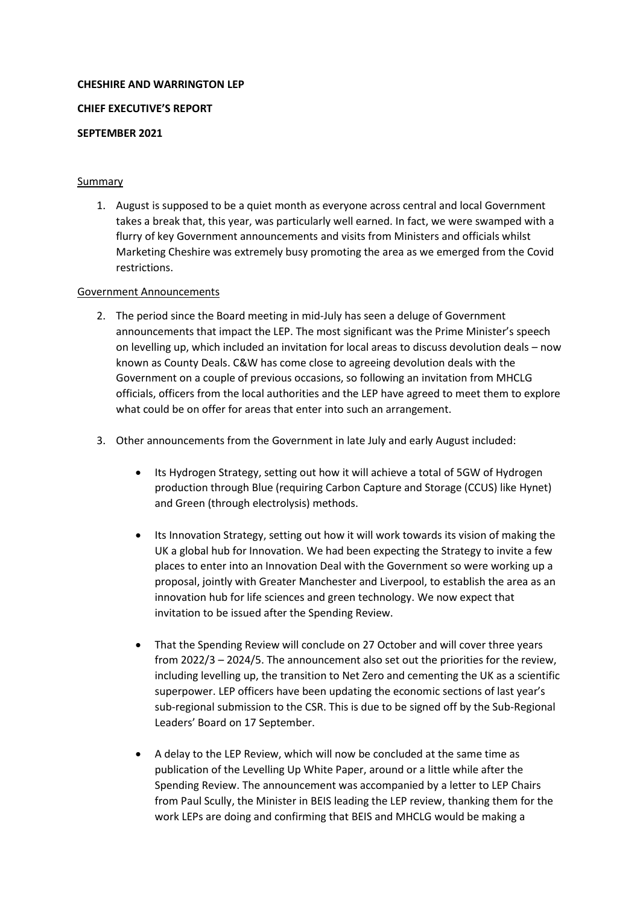## **CHESHIRE AND WARRINGTON LEP**

## **CHIEF EXECUTIVE'S REPORT**

## **SEPTEMBER 2021**

# Summary

1. August is supposed to be a quiet month as everyone across central and local Government takes a break that, this year, was particularly well earned. In fact, we were swamped with a flurry of key Government announcements and visits from Ministers and officials whilst Marketing Cheshire was extremely busy promoting the area as we emerged from the Covid restrictions.

# Government Announcements

- 2. The period since the Board meeting in mid-July has seen a deluge of Government announcements that impact the LEP. The most significant was the Prime Minister's speech on levelling up, which included an invitation for local areas to discuss devolution deals – now known as County Deals. C&W has come close to agreeing devolution deals with the Government on a couple of previous occasions, so following an invitation from MHCLG officials, officers from the local authorities and the LEP have agreed to meet them to explore what could be on offer for areas that enter into such an arrangement.
- 3. Other announcements from the Government in late July and early August included:
	- Its Hydrogen Strategy, setting out how it will achieve a total of 5GW of Hydrogen production through Blue (requiring Carbon Capture and Storage (CCUS) like Hynet) and Green (through electrolysis) methods.
	- Its Innovation Strategy, setting out how it will work towards its vision of making the UK a global hub for Innovation. We had been expecting the Strategy to invite a few places to enter into an Innovation Deal with the Government so were working up a proposal, jointly with Greater Manchester and Liverpool, to establish the area as an innovation hub for life sciences and green technology. We now expect that invitation to be issued after the Spending Review.
	- That the Spending Review will conclude on 27 October and will cover three years from 2022/3 – 2024/5. The announcement also set out the priorities for the review, including levelling up, the transition to Net Zero and cementing the UK as a scientific superpower. LEP officers have been updating the economic sections of last year's sub-regional submission to the CSR. This is due to be signed off by the Sub-Regional Leaders' Board on 17 September.
	- A delay to the LEP Review, which will now be concluded at the same time as publication of the Levelling Up White Paper, around or a little while after the Spending Review. The announcement was accompanied by a letter to LEP Chairs from Paul Scully, the Minister in BEIS leading the LEP review, thanking them for the work LEPs are doing and confirming that BEIS and MHCLG would be making a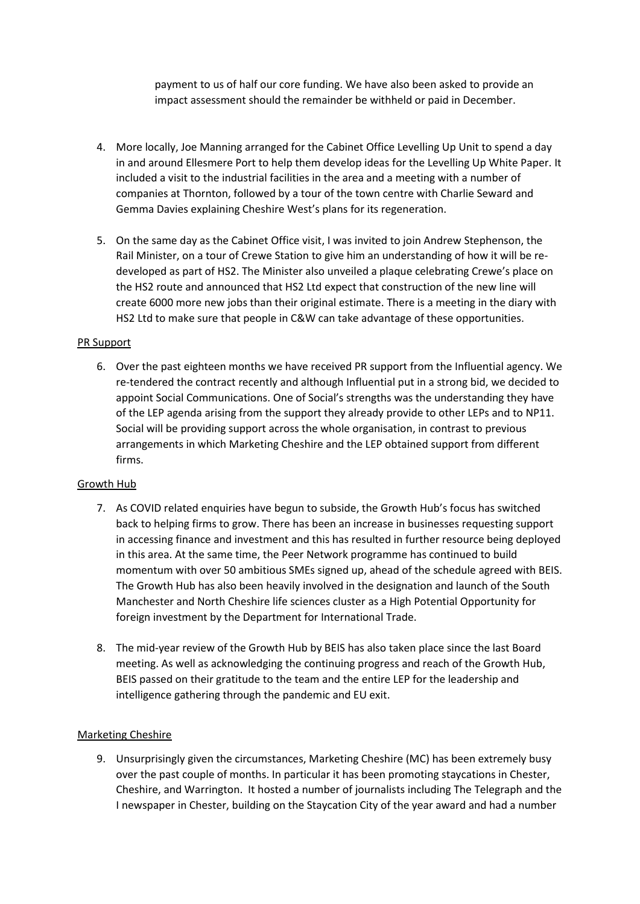payment to us of half our core funding. We have also been asked to provide an impact assessment should the remainder be withheld or paid in December.

- 4. More locally, Joe Manning arranged for the Cabinet Office Levelling Up Unit to spend a day in and around Ellesmere Port to help them develop ideas for the Levelling Up White Paper. It included a visit to the industrial facilities in the area and a meeting with a number of companies at Thornton, followed by a tour of the town centre with Charlie Seward and Gemma Davies explaining Cheshire West's plans for its regeneration.
- 5. On the same day as the Cabinet Office visit, I was invited to join Andrew Stephenson, the Rail Minister, on a tour of Crewe Station to give him an understanding of how it will be redeveloped as part of HS2. The Minister also unveiled a plaque celebrating Crewe's place on the HS2 route and announced that HS2 Ltd expect that construction of the new line will create 6000 more new jobs than their original estimate. There is a meeting in the diary with HS2 Ltd to make sure that people in C&W can take advantage of these opportunities.

# PR Support

6. Over the past eighteen months we have received PR support from the Influential agency. We re-tendered the contract recently and although Influential put in a strong bid, we decided to appoint Social Communications. One of Social's strengths was the understanding they have of the LEP agenda arising from the support they already provide to other LEPs and to NP11. Social will be providing support across the whole organisation, in contrast to previous arrangements in which Marketing Cheshire and the LEP obtained support from different firms.

## Growth Hub

- 7. As COVID related enquiries have begun to subside, the Growth Hub's focus has switched back to helping firms to grow. There has been an increase in businesses requesting support in accessing finance and investment and this has resulted in further resource being deployed in this area. At the same time, the Peer Network programme has continued to build momentum with over 50 ambitious SMEs signed up, ahead of the schedule agreed with BEIS. The Growth Hub has also been heavily involved in the designation and launch of the South Manchester and North Cheshire life sciences cluster as a High Potential Opportunity for foreign investment by the Department for International Trade.
- 8. The mid-year review of the Growth Hub by BEIS has also taken place since the last Board meeting. As well as acknowledging the continuing progress and reach of the Growth Hub, BEIS passed on their gratitude to the team and the entire LEP for the leadership and intelligence gathering through the pandemic and EU exit.

## Marketing Cheshire

9. Unsurprisingly given the circumstances, Marketing Cheshire (MC) has been extremely busy over the past couple of months. In particular it has been promoting staycations in Chester, Cheshire, and Warrington. It hosted a number of journalists including The Telegraph and the I newspaper in Chester, building on the Staycation City of the year award and had a number